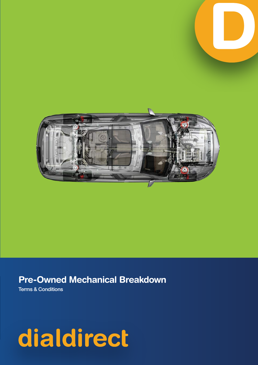

## Pre-Owned Mechanical Breakdown

Terms & Conditions

# dialdirect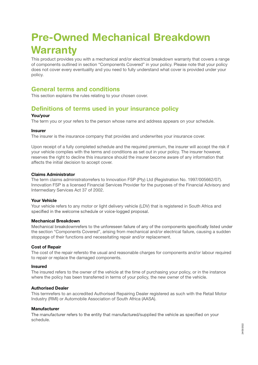## Pre-Owned Mechanical Breakdown **Warranty**

This product provides you with a mechanical and/or electrical breakdown warranty that covers a range of components outlined in section "Components Covered" in your policy. Please note that your policy does not cover every eventuality and you need to fully understand what cover is provided under your policy.

#### General terms and conditions

This section explains the rules relating to your chosen cover.

#### Definitions of terms used in your insurance policy

#### You/your

The term you or your refers to the person whose name and address appears on your schedule.

#### Insurer

The insurer is the insurance company that provides and underwrites your insurance cover.

Upon receipt of a fully completed schedule and the required premium, the insurer will accept the risk if your vehicle complies with the terms and conditions as set out in your policy. The insurer however, reserves the right to decline this insurance should the insurer become aware of any information that affects the initial decision to accept cover.

#### Claims Administrator

The term claims administratorrefers to Innovation FSP (Pty) Ltd (Registration No. 1997/005662/07). Innovation FSP is a licensed Financial Services Provider for the purposes of the Financial Advisory and Intermediary Services Act 37 of 2002.

#### Your Vehicle

Your vehicle refers to any motor or light delivery vehicle (LDV) that is registered in South Africa and specified in the welcome schedule or voice-logged proposal.

#### Mechanical Breakdown

Mechanical breakdownrefers to the unforeseen failure of any of the components specifically listed under the section "Components Covered", arising from mechanical and/or electrical failure, causing a sudden stoppage of their functions and necessitating repair and/or replacement.

#### Cost of Repair

The cost of the repair refersto the usual and reasonable charges for components and/or labour required to repair or replace the damaged components.

#### Insured

The insured refers to the owner of the vehicle at the time of purchasing your policy, or in the instance where the policy has been transferred in terms of your policy, the new owner of the vehicle.

#### Authorised Dealer

This termrefers to an accredited Authorised Repairing Dealer registered as such with the Retail Motor Industry (RMI) or Automobile Association of South Africa (AASA).

#### Manufacturer

The manufacturer refers to the entity that manufactured/supplied the vehicle as specified on your schedule.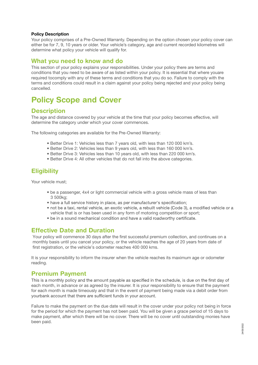#### Policy Description

Your policy comprises of a Pre-Owned Warranty. Depending on the option chosen your policy cover can either be for 7, 9, 10 years or older. Your vehicle's category, age and current recorded kilometres will determine what policy your vehicle will qualify for.

#### What you need to know and do

This section of your policy explains your responsibilities. Under your policy there are terms and conditions that you need to be aware of as listed within your policy. It is essential that where youare required tocomply with any of these terms and conditions that you do so. Failure to comply with the terms and conditions could result in a claim against your policy being rejected and your policy being cancelled.

## Policy Scope and Cover

#### **Description**

The age and distance covered by your vehicle at the time that your policy becomes effective, will determine the category under which your cover commences.

The following categories are available for the Pre-Owned Warranty:

- Better Drive 1: Vehicles less than 7 years old, with less than 120 000 km's.
- Better Drive 2: Vehicles less than 9 years old, with less than 160 000 km's.
- Better Drive 3: Vehicles less than 10 years old, with less than 220 000 km's.
- Better Drive 4: All other vehicles that do not fall into the above categories.

### **Eligibility**

Your vehicle must;

- be a passenger, 4x4 or light commercial vehicle with a gross vehicle mass of less than 3 500kg;
- have a full service history in place, as per manufacturer's specification;
- · not be a taxi, rental vehicle, an exotic vehicle, a rebuilt vehicle (Code 3), a modified vehicle or a vehicle that is or has been used in any form of motoring competition or sport;
- be in a sound mechanical condition and have a valid roadworthy certificate.

#### Effective Date and Duration

Your policy will commence 30 days after the first successful premium collection, and continues on a monthly basis until you cancel your policy, or the vehicle reaches the age of 20 years from date of first registration, or the vehicle's odometer reaches 400 000 kms.

It is your responsibility to inform the insurer when the vehicle reaches its maximum age or odometer reading.

#### Premium Payment

This is a monthly policy and the amount payable as specified in the schedule, is due on the first day of each month, in advance or as agreed by the insurer. It is your responsibility to ensure that the payment for each month is made timeously and that in the event of payment being made via a debit order from yourbank account that there are sufficient funds in your account.

Failure to make the payment on the due date will result in the cover under your policy not being in force for the period for which the payment has not been paid. You will be given a grace period of 15 days to make payment, after which there will be no cover. There will be no cover until outstanding monies have been paid.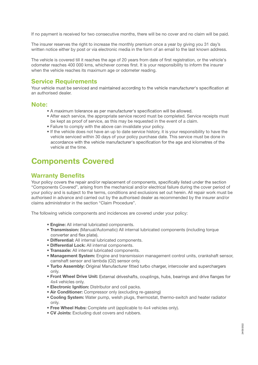If no payment is received for two consecutive months, there will be no cover and no claim will be paid.

The insurer reserves the right to increase the monthly premium once a year by giving you 31 day's written notice either by post or via electronic media in the form of an email to the last known address.

The vehicle is covered till it reaches the age of 20 years from date of first registration, or the vehicle's odometer reaches 400 000 kms, whichever comes first. It is your responsibility to inform the insurer when the vehicle reaches its maximum age or odometer reading.

#### Service Requirements

Your vehicle must be serviced and maintained according to the vehicle manufacturer's specification at an authorised dealer.

#### Note:

- A maximum tolerance as per manufacturer's specification will be allowed.
- After each service, the appropriate service record must be completed. Service receipts must be kept as proof of service, as this may be requested in the event of a claim.
- Failure to comply with the above can invalidate your policy.
- If the vehicle does not have an up to date service history, it is your responsibility to have the vehicle serviced within 30 days of your policy purchase date. This service must be done in accordance with the vehicle manufacturer's specification for the age and kilometres of the vehicle at the time.

## Components Covered

#### Warranty Benefits

Your policy covers the repair and/or replacement of components, specifically listed under the section "Components Covered", arising from the mechanical and/or electrical failure during the cover period of your policy and is subject to the terms, conditions and exclusions set out herein. All repair work must be authorised in advance and carried out by the authorised dealer as recommended by the insurer and/or claims administrator in the section "Claim Procedure".

The following vehicle components and incidences are covered under your policy:

- Engine: All internal lubricated components.
- Transmission: (Manual/Automatic) All internal lubricated components (including torque converter and flex plate).
- Differential: All internal lubricated components.
- Differential Lock: All internal components.
- Transaxle: All internal lubricated components.
- Management System: Engine and transmission management control units, crankshaft sensor, camshaft sensor and lambda (O2) sensor only.
- Turbo Assembly: Original Manufacturer fitted turbo charger, intercooler and superchargers only.
- **Front Wheel Drive Unit:** External driveshafts, couplings, hubs, bearings and drive flanges for 4x4 vehicles only.
- Electronic Ignition: Distributor and coil packs.
- Air Conditioner: Compressor only (excluding re-gassing)
- Cooling System: Water pump, welsh plugs, thermostat, thermo-switch and heater radiator only.
- Free Wheel Hubs: Complete unit (applicable to 4x4 vehicles only).
- CV Joints: Excluding dust covers and rubbers.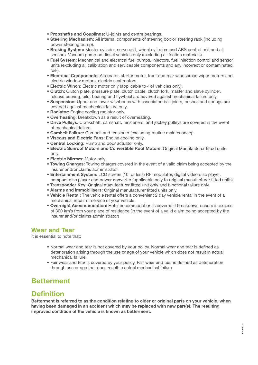- Propshafts and Couplings: U-joints and centre bearings.
- Steering Mechanism: All internal components of steering box or steering rack (including power steering pump).
- Braking System: Master cylinder, servo unit, wheel cylinders and ABS control unit and all sensors. Vacuum pump on diesel vehicles only (excluding all friction materials).
- Fuel System: Mechanical and electrical fuel pumps, injectors, fuel injection control and sensor units (excluding all calibration and serviceable components and any incorrect or contaminated fuel).
- Electrical Components: Alternator, starter motor, front and rear windscreen wiper motors and electric window motors, electric seat motors.
- **Electric Winch:** Electric motor only (applicable to 4x4 vehicles only).
- Clutch: Clutch plate, pressure plate, clutch cable, clutch fork, master and slave cylinder, release bearing, pilot bearing and flywheel are covered against mechanical failure only.
- Suspension: Upper and lower wishbones with associated ball joints, bushes and springs are covered against mechanical failure only.
- Radiator: Engine cooling radiator only.
- Overheating: Breakdown as a result of overheating.
- Drive Pulleys: Crankshaft, camshaft, tensioners, and jockey pulleys are covered in the event of mechanical failure.
- Cambelt Failure: Cambelt and tensioner (excluding routine maintenance).
- Viscous and Electric Fans: Engine cooling only.
- Central Locking: Pump and door actuator only.
- Electric Sunroof Motors and Convertible Roof Motors: Original Manufacturer fitted units only.
- Electric Mirrors: Motor only.
- Towing Charges: Towing charges covered in the event of a valid claim being accepted by the insurer and/or claims administrator.
- Entertainment System: LCD screen (10' or less) RF modulator, digital video disc player, compact disc player and power converter (applicable only to original manufacturer fitted units).
- Transponder Key: Original manufacturer fitted unit only and functional failure only.
- Alarms and Immobilisers: Original manufacturer fitted units only.
- Vehicle Rental: The vehicle rental offers a convenient 2 day vehicle rental in the event of a mechanical repair or service of your vehicle.
- Overnight Accommodation: Hotel accommodation is covered if breakdown occurs in excess of 300 km's from your place of residence (in the event of a valid claim being accepted by the insurer and/or claims administrator)

#### Wear and Tear

It is essential to note that:

- Normal wear and tear is not covered by your policy. Normal wear and tear is defined as deterioration arising through the use or age of your vehicle which does not result in actual mechanical failure.
- Fair wear and tear is covered by your policy. Fair wear and tear is defined as deterioration through use or age that does result in actual mechanical failure.

## Betterment

### **Definition**

Betterment is referred to as the condition relating to older or original parts on your vehicle, when having been damaged in an accident which may be replaced with new part(s). The resulting improved condition of the vehicle is known as betterment.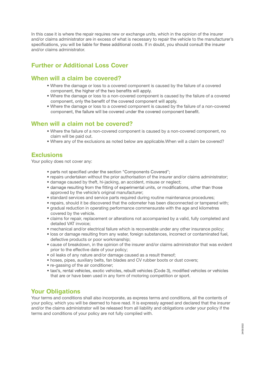In this case it is where the repair requires new or exchange units, which in the opinion of the insurer and/or claims administrator are in excess of what is necessary to repair the vehicle to the manufacturer's specifications, you will be liable for these additional costs. If in doubt, you should consult the insurer and/or claims administrator.

#### Further or Additional Loss Cover

#### When will a claim be covered?

- Where the damage or loss to a covered component is caused by the failure of a covered component, the higher of the two benefits will apply.
- Where the damage or loss to a non-covered component is caused by the failure of a covered component, only the benefit of the covered component will apply.
- Where the damage or loss to a covered component is caused by the failure of a non-covered component, the failure will be covered under the covered component benefit.

#### When will a claim not be covered?

- Where the failure of a non-covered component is caused by a non-covered component, no claim will be paid out.
- Where any of the exclusions as noted below are applicable.When will a claim be covered?

#### **Exclusions**

Your policy does not cover any:

- parts not specified under the section "Components Covered";
- repairs undertaken without the prior authorisation of the insurer and/or claims administrator;
- damage caused by theft, hi-jacking, an accident, misuse or neglect;
- damage resulting from the fitting of experimental units, or modifications, other than those approved by the vehicle's original manufacturer;
- standard services and service parts required during routine maintenance procedures;
- repairs, should it be discovered that the odometer has been disconnected or tampered with;
- gradual reduction in operating performance commensurate with the age and kilometres covered by the vehicle.
- claims for repair, replacement or alterations not accompanied by a valid, fully completed and detailed VAT invoice;
- mechanical and/or electrical failure which is recoverable under any other insurance policy;
- loss or damage resulting from any water, foreign substances, incorrect or contaminated fuel, defective products or poor workmanship;
- cause of breakdown, in the opinion of the insurer and/or claims administrator that was evident prior to the effective date of your policy;
- oil leaks of any nature and/or damage caused as a result thereof;
- hoses, pipes, auxiliary belts, fan blades and CV rubber boots or dust covers;
- re-gassing of the air conditioner;
- · taxi's, rental vehicles, exotic vehicles, rebuilt vehicles (Code 3), modified vehicles or vehicles that are or have been used in any form of motoring competition or sport.

#### Your Obligations

Your terms and conditions shall also incorporate, as express terms and conditions, all the contents of your policy, which you will be deemed to have read. It is expressly agreed and declared that the insurer and/or the claims administrator will be released from all liability and obligations under your policy if the terms and conditions of your policy are not fully complied with.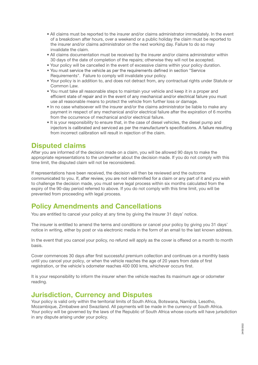- All claims must be reported to the insurer and/or claims administrator immediately. In the event of a breakdown after hours, over a weekend or a public holiday the claim must be reported to the insurer and/or claims administrator on the next working day. Failure to do so may invalidate the claim.
- All claims documentation must be received by the insurer and/or claims administrator within 30 days of the date of completion of the repairs; otherwise they will not be accepted.
- Your policy will be cancelled in the event of excessive claims within your policy duration.
- . You must service the vehicle as per the requirements defined in section "Service" Requirements". Failure to comply will invalidate your policy.
- Your policy is in addition to, and does not detract from, any contractual rights under Statute or Common Law.
- You must take all reasonable steps to maintain your vehicle and keep it in a proper and efficient state of repair and in the event of any mechanical and/or electrical failure you must use all reasonable means to protect the vehicle from further loss or damage.
- In no case whatsoever will the insurer and/or the claims administrator be liable to make any payment in respect of any mechanical and/or electrical failure after the expiration of 6 months from the occurrence of mechanical and/or electrical failure.
- It is your responsibility to ensure that, in the case of diesel vehicles, the diesel pump and injectors is calibrated and serviced as per the manufacturer's specifications. A failure resulting from incorrect calibration will result in rejection of the claim.

### Disputed claims

After you are informed of the decision made on a claim, you will be allowed 90 days to make the appropriate representations to the underwriter about the decision made. If you do not comply with this time limit, the disputed claim will not be reconsidered.

If representations have been received, the decision will then be reviewed and the outcome communicated to you. If, after review, you are not indemnified for a claim or any part of it and you wish to challenge the decision made, you must serve legal process within six months calculated from the expiry of the 90-day period referred to above. If you do not comply with this time limit, you will be prevented from proceeding with legal process.

## Policy Amendments and Cancellations

You are entitled to cancel your policy at any time by giving the Insurer 31 days' notice.

The insurer is entitled to amend the terms and conditions or cancel your policy by giving you 31 days' notice in writing, either by post or via electronic media in the form of an email to the last known address.

In the event that you cancel your policy, no refund will apply as the cover is offered on a month to month basis.

Cover commences 30 days after first successful premium collection and continues on a monthly basis until you cancel your policy, or when the vehicle reaches the age of 20 years from date of first registration, or the vehicle's odometer reaches 400 000 kms, whichever occurs first.

It is your responsibility to inform the insurer when the vehicle reaches its maximum age or odometer reading.

### Jurisdiction, Currency and Disputes

Your policy is valid only within the territorial limits of South Africa, Botswana, Namibia, Lesotho, Mozambique, Zimbabwe and Swaziland. All payments will be made in the currency of South Africa. Your policy will be governed by the laws of the Republic of South Africa whose courts will have jurisdiction in any dispute arising under your policy.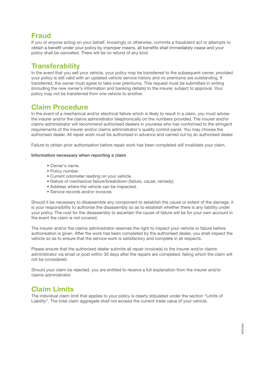### Fraud

If you or anyone acting on your behalf, knowingly or otherwise, commits a fraudulent act or attempts to obtain a benefit under your policy by improper means, all benefits shall immediately cease and your policy shall be cancelled. There will be no refund of any kind.

## **Transferability**

In the event that you sell your vehicle, your policy may be transferred to the subsequent owner, provided your policy is still valid with an updated vehicle service history and no premiums are outstanding. If transferred, the owner must agree to take over premiums. This request must be submitted in writing (including the new owner's information and banking details) to the insurer, subject to approval. Your policy may not be transferred from one vehicle to another.

## Claim Procedure

In the event of a mechanical and/or electrical failure which is likely to result in a claim, you must advise the insurer and/or the claims administrator telephonically on the numbers provided. The insurer and/or claims administrator will recommend authorised dealers in yourarea who has conformed to the stringent requirements of the insurer and/or claims administrator's quality control panel. You may choose the authorised dealer. All repair work must be authorised in advance and carried out by an authorised dealer.

Failure to obtain prior authorisation before repair work has been completed will invalidate your claim.

#### Information necessary when reporting a claim

- Owner's name.
- Policy number.
- Current odometer reading on your vehicle.
- Nature of mechanical failure/breakdown (failure, cause, remedy).
- Address where the vehicle can be inspected.
- Service records and/or invoices.

Should it be necessary to disassemble any component to establish the cause or extent of the damage, it is your responsibility to authorise the disassembly so as to establish whether there is any liability under your policy. The cost for the disassembly to ascertain the cause of failure will be for your own account in the event the claim is not covered.

The insurer and/or the claims administrator reserves the right to inspect your vehicle or failure before authorisation is given. After the work has been completed by the authorised dealer, you shall inspect the vehicle so as to ensure that the service work is satisfactory and complete in all respects.

Please ensure that the authorised dealer submits all repair invoice(s) to the insurer and/or claims administrator via email or post within 30 days after the repairs are completed, failing which the claim will not be considered.

Should your claim be rejected, you are entitled to receive a full explanation from the insurer and/or claims administrator.

## Claim Limits

The individual claim limit that applies to your policy is clearly stipulated under the section "Limits of Liability". The total claim aggregate shall not exceed the current trade value of your vehicle.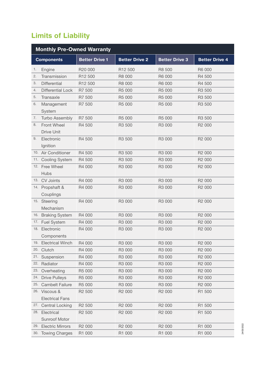## Limits of Liability

| <b>Monthly Pre-Owned Warranty</b> |                          |                       |                       |                       |                       |  |  |
|-----------------------------------|--------------------------|-----------------------|-----------------------|-----------------------|-----------------------|--|--|
| <b>Components</b>                 |                          | <b>Better Drive 1</b> | <b>Better Drive 2</b> | <b>Better Drive 3</b> | <b>Better Drive 4</b> |  |  |
| 1.                                | Engine                   | R20 000               | R12 500               | R8 500                | R6 000                |  |  |
| 2.                                | Transmission             | R12 500               | R8 000                | R6 000                | R4 500                |  |  |
| 3.                                | <b>Differential</b>      | R12 500               | R8 000                | R6 000                | R4 500                |  |  |
| 4.                                | <b>Differential Lock</b> | R7 500                | R5 000                | R5 000                | R3 500                |  |  |
| 5.                                | Transaxle                | R7 500                | R5 000                | R5 000                | R3 500                |  |  |
| 6.                                | Management               | R7 500                | R5 000                | R5 000                | R <sub>3</sub> 500    |  |  |
|                                   | System                   |                       |                       |                       |                       |  |  |
| 7.                                | Turbo Assembly           | R7 500                | R5 000                | R5 000                | R3 500                |  |  |
| 8.                                | Front Wheel              | R4 500                | R3 500                | R3 000                | R <sub>2</sub> 000    |  |  |
|                                   | <b>Drive Unit</b>        |                       |                       |                       |                       |  |  |
| 9.                                | Electronic               | R4 500                | R3 500                | R3 000                | R <sub>2</sub> 000    |  |  |
|                                   | Ignition                 |                       |                       |                       |                       |  |  |
|                                   | 10. Air Conditioner      | R4 500                | R3 500                | R3 000                | R2 000                |  |  |
| 11.                               | <b>Cooling System</b>    | R4 500                | R3 500                | R3 000                | R <sub>2</sub> 000    |  |  |
|                                   | 12. Free Wheel           | R4 000                | R3 000                | R3 000                | R <sub>2</sub> 000    |  |  |
|                                   | <b>Hubs</b>              |                       |                       |                       |                       |  |  |
|                                   | 13. CV Joints            | R4 000                | R3 000                | R3 000                | R2 000                |  |  |
|                                   | 14. Propshaft &          | R4 000                | R3 000                | R3 000                | R <sub>2</sub> 000    |  |  |
|                                   | Couplings                |                       |                       |                       |                       |  |  |
|                                   | 15. Steering             | R4 000                | R3 000                | R3 000                | R <sub>2</sub> 000    |  |  |
|                                   | Mechanism                |                       |                       |                       |                       |  |  |
|                                   | 16. Braking System       | R4 000                | R3 000                | R3 000                | R2 000                |  |  |
| 17.                               | <b>Fuel System</b>       | R4 000                | R3 000                | R3 000                | R <sub>2</sub> 000    |  |  |
| 18.                               | Electronic               | R4 000                | R3 000                | R3 000                | R <sub>2</sub> 000    |  |  |
|                                   | Components               |                       |                       |                       |                       |  |  |
|                                   | 19. Electrical Winch     | R4 000                | R3 000                | R3 000                | R <sub>2</sub> 000    |  |  |
| 20.                               | Clutch                   | R4 000                | R3 000                | R3 000                | R <sub>2</sub> 000    |  |  |
| 21.                               | Suspension               | R4 000                | R3 000                | R3 000                | R <sub>2</sub> 000    |  |  |
| 22.                               | Radiator                 | R4 000                | R3 000                | R3 000                | R <sub>2</sub> 000    |  |  |
| 23.                               | Overheating              | R5 000                | R3 000                | R3 000                | R <sub>2</sub> 000    |  |  |
| 24.                               | <b>Drive Pulleys</b>     | R5 000                | R3 000                | R3 000                | R <sub>2</sub> 000    |  |  |
| 25.                               | <b>Cambelt Failure</b>   | R5 000                | R3 000                | R3 000                | R <sub>2</sub> 000    |  |  |
|                                   | 26. Viscous &            | R <sub>2</sub> 500    | R2 000                | R2 000                | R1 500                |  |  |
|                                   | <b>Electrical Fans</b>   |                       |                       |                       |                       |  |  |
| 27.                               | <b>Central Locking</b>   | R <sub>2</sub> 500    | R2 000                | R <sub>2</sub> 000    | R1 500                |  |  |
| 28.                               | Electrical               | R <sub>2</sub> 500    | R2 000                | R <sub>2</sub> 000    | R1 500                |  |  |
|                                   | Sunroof Motor            |                       |                       |                       |                       |  |  |
|                                   | 29. Electric Mirrors     | R2 000                | R2 000                | R2 000                | R1 000                |  |  |
| 30.                               | <b>Towing Charges</b>    | R1 000                | R1 000                | R1 000                | R1 000                |  |  |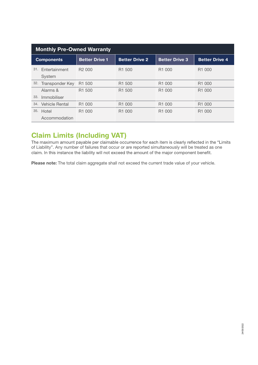| <b>Monthly Pre-Owned Warranty</b> |                       |                       |                       |                       |  |  |  |  |
|-----------------------------------|-----------------------|-----------------------|-----------------------|-----------------------|--|--|--|--|
| <b>Components</b>                 | <b>Better Drive 1</b> | <b>Better Drive 2</b> | <b>Better Drive 3</b> | <b>Better Drive 4</b> |  |  |  |  |
| 31.<br>Entertainment<br>System    | R <sub>2</sub> 000    | R <sub>1</sub> 500    | R <sub>1</sub> 000    | R <sub>1</sub> 000    |  |  |  |  |
| 32. Transponder Key               | R <sub>1</sub> 500    | R <sub>1</sub> 500    | R <sub>1</sub> 000    | R <sub>1</sub> 000    |  |  |  |  |
| Alarms &<br>33.<br>Immobiliser    | R <sub>1</sub> 500    | R <sub>1</sub> 500    | R <sub>1</sub> 000    | R <sub>1</sub> 000    |  |  |  |  |
| 34.<br>Vehicle Rental             | R <sub>1</sub> 000    | R <sub>1</sub> 000    | R <sub>1</sub> 000    | R <sub>1</sub> 000    |  |  |  |  |
| 35. Hotel<br>Accommodation        | R <sub>1</sub> 000    | R <sub>1</sub> 000    | R <sub>1</sub> 000    | R <sub>1</sub> 000    |  |  |  |  |

**Claim Limits (Including VAT)**<br>The maximum amount payable per claimable occurrence for each item is clearly reflected in the "Limits" of Liability". Any number of failures that occur or are reported simultaneously will be treated as one claim. In this instance the liability will not exceed the amount of the major component benefit.

Please note: The total claim aggregate shall not exceed the current trade value of your vehicle.